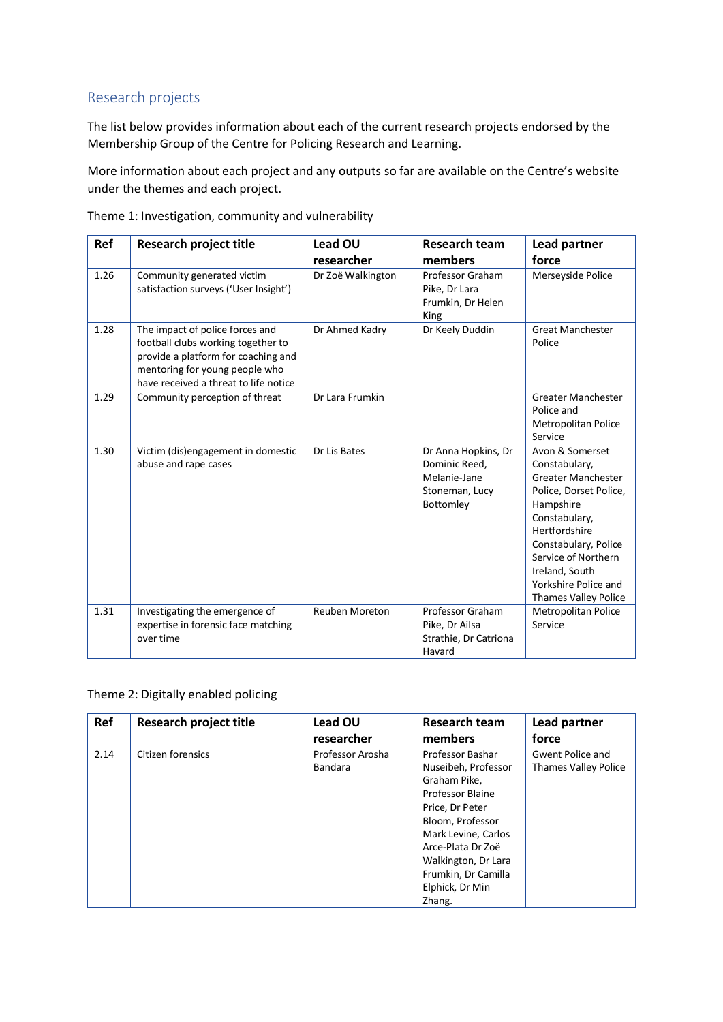## Research projects

The list below provides information about each of the current research projects endorsed by the Membership Group of the Centre for Policing Research and Learning.

More information about each project and any outputs so far are available on the Centre's website under the themes and each project.

| <b>Ref</b> | <b>Research project title</b>                                                                                                                                                           | <b>Lead OU</b>        | <b>Research team</b>                                                                | Lead partner                                                                                                                                                                                                                                            |
|------------|-----------------------------------------------------------------------------------------------------------------------------------------------------------------------------------------|-----------------------|-------------------------------------------------------------------------------------|---------------------------------------------------------------------------------------------------------------------------------------------------------------------------------------------------------------------------------------------------------|
|            |                                                                                                                                                                                         | researcher            | members                                                                             | force                                                                                                                                                                                                                                                   |
| 1.26       | Community generated victim<br>satisfaction surveys ('User Insight')                                                                                                                     | Dr Zoë Walkington     | Professor Graham<br>Pike, Dr Lara<br>Frumkin, Dr Helen<br>King                      | Merseyside Police                                                                                                                                                                                                                                       |
| 1.28       | The impact of police forces and<br>football clubs working together to<br>provide a platform for coaching and<br>mentoring for young people who<br>have received a threat to life notice | Dr Ahmed Kadry        | Dr Keely Duddin                                                                     | <b>Great Manchester</b><br>Police                                                                                                                                                                                                                       |
| 1.29       | Community perception of threat                                                                                                                                                          | Dr Lara Frumkin       |                                                                                     | <b>Greater Manchester</b><br>Police and<br>Metropolitan Police<br>Service                                                                                                                                                                               |
| 1.30       | Victim (dis)engagement in domestic<br>abuse and rape cases                                                                                                                              | Dr Lis Bates          | Dr Anna Hopkins, Dr<br>Dominic Reed,<br>Melanie-Jane<br>Stoneman, Lucy<br>Bottomley | Avon & Somerset<br>Constabulary,<br><b>Greater Manchester</b><br>Police, Dorset Police,<br>Hampshire<br>Constabulary,<br>Hertfordshire<br>Constabulary, Police<br>Service of Northern<br>Ireland, South<br>Yorkshire Police and<br>Thames Valley Police |
| 1.31       | Investigating the emergence of<br>expertise in forensic face matching<br>over time                                                                                                      | <b>Reuben Moreton</b> | Professor Graham<br>Pike, Dr Ailsa<br>Strathie, Dr Catriona<br>Havard               | <b>Metropolitan Police</b><br>Service                                                                                                                                                                                                                   |

Theme 1: Investigation, community and vulnerability

## Theme 2: Digitally enabled policing

| Ref  | <b>Research project title</b> | Lead OU          | <b>Research team</b> | Lead partner                |
|------|-------------------------------|------------------|----------------------|-----------------------------|
|      |                               | researcher       | members              | force                       |
| 2.14 | Citizen forensics             | Professor Arosha | Professor Bashar     | Gwent Police and            |
|      |                               | <b>Bandara</b>   | Nuseibeh, Professor  | <b>Thames Valley Police</b> |
|      |                               |                  | Graham Pike,         |                             |
|      |                               |                  | Professor Blaine     |                             |
|      |                               |                  | Price, Dr Peter      |                             |
|      |                               |                  | Bloom, Professor     |                             |
|      |                               |                  | Mark Levine, Carlos  |                             |
|      |                               |                  | Arce-Plata Dr Zoë    |                             |
|      |                               |                  | Walkington, Dr Lara  |                             |
|      |                               |                  | Frumkin, Dr Camilla  |                             |
|      |                               |                  | Elphick, Dr Min      |                             |
|      |                               |                  | Zhang.               |                             |